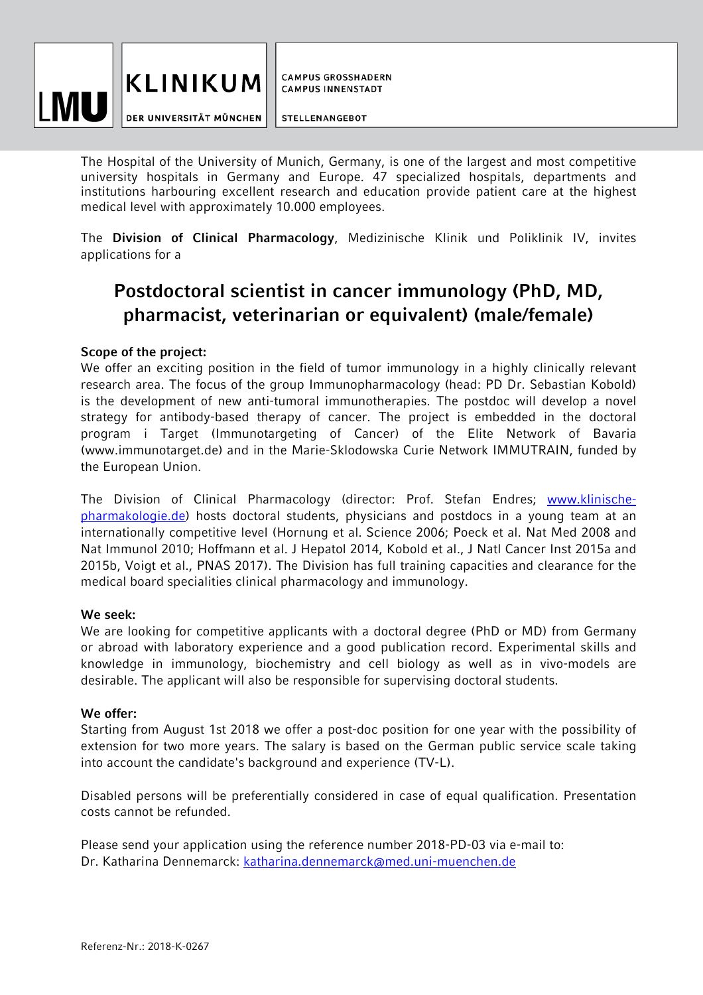

DER UNIVERSITÄT MÜNCHEN

**CAMPUS GROSSHADERN CAMPUS INNENSTADT** 

**STELLENANGEBOT** 

The Hospital of the University of Munich, Germany, is one of the largest and most competitive university hospitals in Germany and Europe. 47 specialized hospitals, departments and institutions harbouring excellent research and education provide patient care at the highest medical level with approximately 10.000 employees.

The **Division of Clinical Pharmacology**, Medizinische Klinik und Poliklinik IV, invites applications for a

## **Postdoctoral scientist in cancer immunology (PhD, MD, pharmacist, veterinarian or equivalent) (male/female)**

## **Scope of the project:**

We offer an exciting position in the field of tumor immunology in a highly clinically relevant research area. The focus of the group Immunopharmacology (head: PD Dr. Sebastian Kobold) is the development of new anti-tumoral immunotherapies. The postdoc will develop a novel strategy for antibody-based therapy of cancer. The project is embedded in the doctoral program i Target (Immunotargeting of Cancer) of the Elite Network of Bavaria (www.immunotarget.de) and in the Marie-Sklodowska Curie Network IMMUTRAIN, funded by the European Union.

The Division of Clinical Pharmacology (director: Prof. Stefan Endres; www.klinischepharmakologie.de) hosts doctoral students, physicians and postdocs in a young team at an internationally competitive level (Hornung et al. Science 2006; Poeck et al. Nat Med 2008 and Nat Immunol 2010; Hoffmann et al. J Hepatol 2014, Kobold et al., J Natl Cancer Inst 2015a and 2015b, Voigt et al., PNAS 2017). The Division has full training capacities and clearance for the medical board specialities clinical pharmacology and immunology.

## **We seek:**

We are looking for competitive applicants with a doctoral degree (PhD or MD) from Germany or abroad with laboratory experience and a good publication record. Experimental skills and knowledge in immunology, biochemistry and cell biology as well as in vivo-models are desirable. The applicant will also be responsible for supervising doctoral students.

## **We offer:**

Starting from August 1st 2018 we offer a post-doc position for one year with the possibility of extension for two more years. The salary is based on the German public service scale taking into account the candidate's background and experience (TV-L).

Disabled persons will be preferentially considered in case of equal qualification. Presentation costs cannot be refunded.

Please send your application using the reference number 2018-PD-03 via e-mail to: Dr. Katharina Dennemarck: katharina.dennemarck@med.uni-muenchen.de